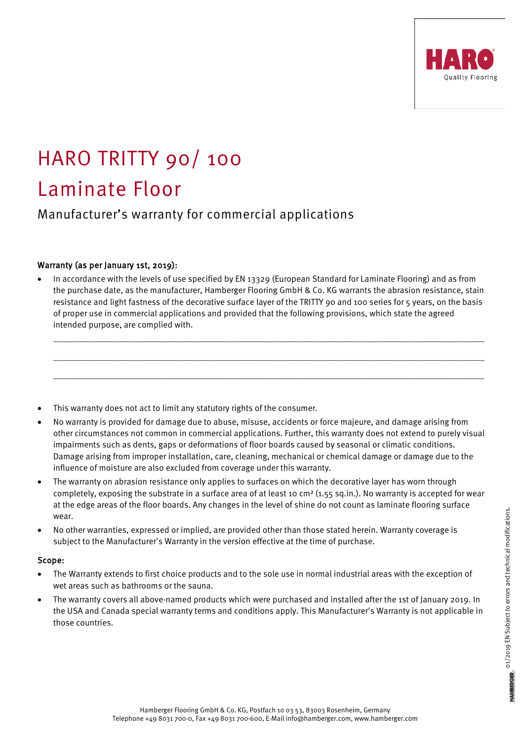

# HARO TRITTY 90/ 100 Laminate Floor

Manufacturer's warranty for commercial applications

## Warranty (as per January 1st, 2019):

• In accordance with the levels of use specified by EN 13329 (European Standard for Laminate Flooring) and as from the purchase date, as the manufacturer, Hamberger Flooring GmbH & Co. KG warrants the abrasion resistance, stain resistance and light fastness of the decorative surface layer of the TRITTY 90 and 100 series for 5 years, on the basis of proper use in commercial applications and provided that the following provisions, which state the agreed intended purpose, are complied with.

\_\_\_\_\_\_\_\_\_\_\_\_\_\_\_\_\_\_\_\_\_\_\_\_\_\_\_\_\_\_\_\_\_\_\_\_\_\_\_\_\_\_\_\_\_\_\_\_\_\_\_\_\_\_\_\_\_\_\_\_\_\_\_\_\_\_\_\_\_\_\_\_\_\_\_\_\_\_\_\_\_\_\_\_\_\_\_\_\_\_\_\_\_\_\_\_\_\_

\_\_\_\_\_\_\_\_\_\_\_\_\_\_\_\_\_\_\_\_\_\_\_\_\_\_\_\_\_\_\_\_\_\_\_\_\_\_\_\_\_\_\_\_\_\_\_\_\_\_\_\_\_\_\_\_\_\_\_\_\_\_\_\_\_\_\_\_\_\_\_\_\_\_\_\_\_\_\_\_\_\_\_\_\_\_\_\_\_\_\_\_\_\_\_\_\_\_

\_\_\_\_\_\_\_\_\_\_\_\_\_\_\_\_\_\_\_\_\_\_\_\_\_\_\_\_\_\_\_\_\_\_\_\_\_\_\_\_\_\_\_\_\_\_\_\_\_\_\_\_\_\_\_\_\_\_\_\_\_\_\_\_\_\_\_\_\_\_\_\_\_\_\_\_\_\_\_\_\_\_\_\_\_\_\_\_\_\_\_\_\_\_\_\_\_\_

- This warranty does not act to limit any statutory rights of the consumer.
- No warranty is provided for damage due to abuse, misuse, accidents or force majeure, and damage arising from other circumstances not common in commercial applications. Further, this warranty does not extend to purely visual impairments such as dents, gaps or deformations of floor boards caused by seasonal or climatic conditions. Damage arising from improper installation, care, cleaning, mechanical or chemical damage or damage due to the influence of moisture are also excluded from coverage under this warranty.
- The warranty on abrasion resistance only applies to surfaces on which the decorative layer has worn through completely, exposing the substrate in a surface area of at least 10 cm<sup>2</sup> (1.55 sq.in.). No warranty is accepted for wear at the edge areas of the floor boards. Any changes in the level of shine do not count as laminate flooring surface wear.
- No other warranties, expressed or implied, are provided other than those stated herein. Warranty coverage is subject to the Manufacturer's Warranty in the version effective at the time of purchase.

## Scope:

- The Warranty extends to first choice products and to the sole use in normal industrial areas with the exception of wet areas such as bathrooms or the sauna.
- The warranty covers all above-named products which were purchased and installed after the 1st of January 2019. In the USA and Canada special warranty terms and conditions apply. This Manufacturer's Warranty is not applicable in those countries.